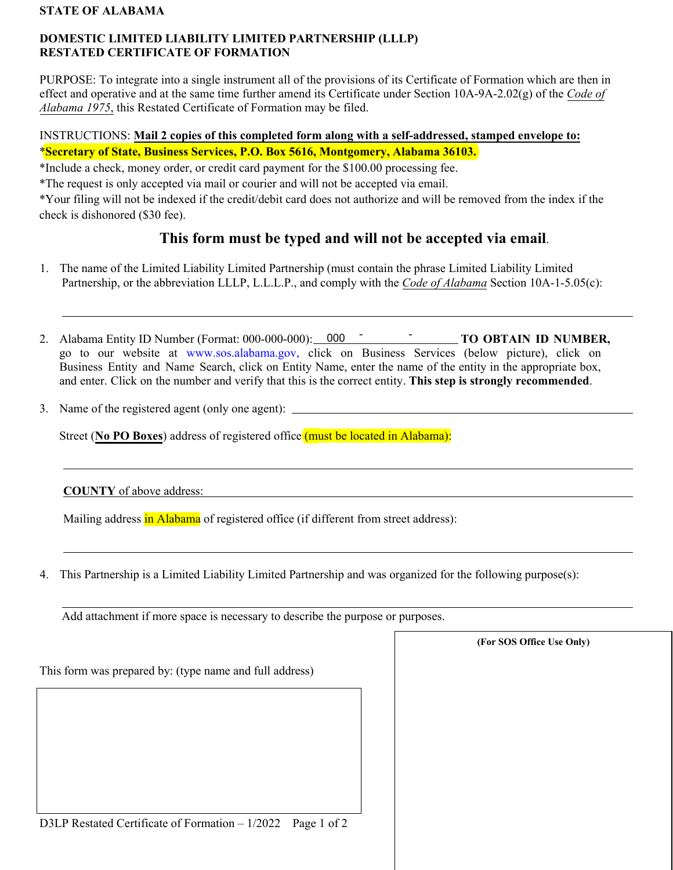#### **STATE OF ALABAMA**

## **DOMESTIC LIMITED LIABILITY LIMITED PARTNERSHIP (LLLP) RESTATED CERTIFICATE OF FORMATION**

PURPOSE: To integrate into a single instrument all of the provisions of its Certificate of Formation which are then in effect and operative and at the same time further amend its Certificate under Section 10A-9A-2.02(g) of the *Code of Alabama 1975*, this Restated Certificate of Formation may be filed.

## INSTRUCTIONS: **Mail 2 copies of this completed form along with a self-addressed, stamped envelope to:**  \***Secretary of State, Business Services, P.O. Box 5616, Montgomery, Alabama 36103.**

\*Include a check, money order, or credit card payment for the \$100.00 processing fee.

\*The request is only accepted via mail or courier and will not be accepted via email.

\*Your filing will not be indexed if the credit/debit card does not authorize and will be removed from the index if the check is dishonored (\$30 fee).

# **This form must be typed and will not be accepted via email**.

- 1. The name of the Limited Liability Limited Partnership (must contain the phrase Limited Liability Limited Partnership, or the abbreviation LLLP, L.L.L.P., and comply with the *Code of Alabama* Section 10A-1-5.05(c):
- 2. Alabama Entity ID Number (Format: 000-000-000): 000 <sup>-</sup> TO OBTAIN ID NUMBER, go to our website at [www.sos.alabama.gov](http://www.sos.alabama.gov), click on Business Services (below picture), click on Business Entity and Name Search, click on Entity Name, enter the name of the entity in the appropriate box, and enter. Click on the number and verify that this is the correct entity. **This step is strongly recommended**.

3. Name of the registered agent (only one agent):

Street (**No PO Boxes**) address of registered office (must be located in Alabama):

**COUNTY** of above address:

Mailing address in Alabama of registered office (if different from street address):

4. This Partnership is a Limited Liability Limited Partnership and was organized for the following purpose(s):

**(For SOS Office Use Only)**

Add attachment if more space is necessary to describe the purpose or purposes.

This form was prepared by: (type name and full address)

D3LP Restated Certificate of Formation – 1/2022 Page 1 of 2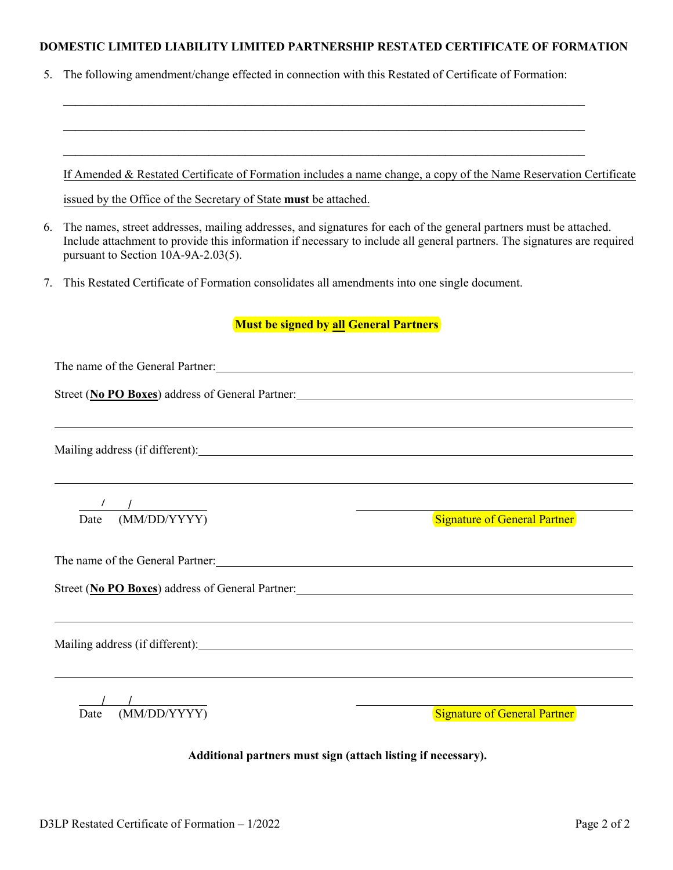## **DOMESTIC LIMITED LIABILITY LIMITED PARTNERSHIP RESTATED CERTIFICATE OF FORMATION**

**\_\_\_\_\_\_\_\_\_\_\_\_\_\_\_\_\_\_\_\_\_\_\_\_\_\_\_\_\_\_\_\_\_\_\_\_\_\_\_\_\_\_\_\_\_\_\_\_\_\_\_\_\_\_\_\_\_\_\_\_\_\_\_\_\_\_\_\_\_\_\_\_\_\_\_\_\_\_\_\_\_\_\_\_\_\_**

5. The following amendment/change effected in connection with this Restated of Certificate of Formation:

|    | If Amended & Restated Certificate of Formation includes a name change, a copy of the Name Reservation Certificate                                                                                                                                                                    |  |  |
|----|--------------------------------------------------------------------------------------------------------------------------------------------------------------------------------------------------------------------------------------------------------------------------------------|--|--|
|    | issued by the Office of the Secretary of State must be attached.                                                                                                                                                                                                                     |  |  |
| 6. | The names, street addresses, mailing addresses, and signatures for each of the general partners must be attached.<br>Include attachment to provide this information if necessary to include all general partners. The signatures are required<br>pursuant to Section 10A-9A-2.03(5). |  |  |
| 7. | This Restated Certificate of Formation consolidates all amendments into one single document.                                                                                                                                                                                         |  |  |
|    | <b>Must be signed by all General Partners</b>                                                                                                                                                                                                                                        |  |  |
|    | The name of the General Partner: 1999 and 2009 and 2009 and 2009 and 2009 and 2009 and 2009 and 2009 and 2009 and 2009 and 2009 and 2009 and 2009 and 2009 and 2009 and 2009 and 2009 and 2009 and 2009 and 2009 and 2009 and                                                        |  |  |
|    |                                                                                                                                                                                                                                                                                      |  |  |
|    | ,我们也不会有什么。""我们的人,我们也不会有什么?""我们的人,我们也不会有什么?""我们的人,我们也不会有什么?""我们的人,我们也不会有什么?""我们的人                                                                                                                                                                                                     |  |  |
|    |                                                                                                                                                                                                                                                                                      |  |  |
|    |                                                                                                                                                                                                                                                                                      |  |  |
|    | $\frac{1}{\sqrt{1-\frac{1}{2}}}$                                                                                                                                                                                                                                                     |  |  |
|    | Date (MM/DD/YYYY)<br><b>Signature of General Partner</b>                                                                                                                                                                                                                             |  |  |
|    |                                                                                                                                                                                                                                                                                      |  |  |
|    | Street (No PO Boxes) address of General Partner:                                                                                                                                                                                                                                     |  |  |
|    |                                                                                                                                                                                                                                                                                      |  |  |
|    | Mailing address (if different):                                                                                                                                                                                                                                                      |  |  |
|    |                                                                                                                                                                                                                                                                                      |  |  |
|    |                                                                                                                                                                                                                                                                                      |  |  |
|    | (MM/DD/YYYY)<br><b>Signature of General Partner</b><br>Date                                                                                                                                                                                                                          |  |  |

**Additional partners must sign (attach listing if necessary).**